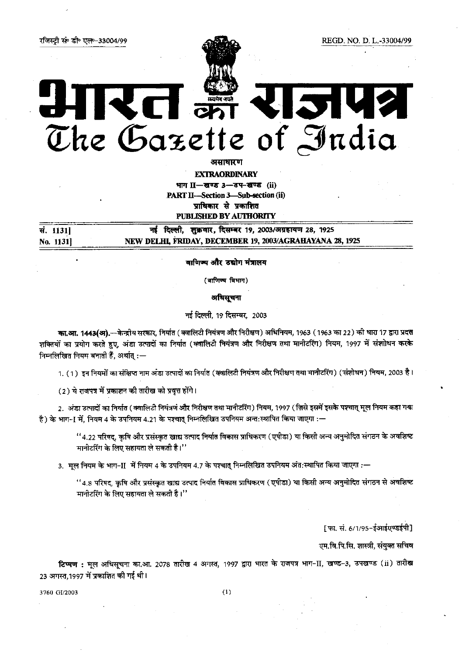## The Gazette of India

असाधारण

**EXTRAORDINARY** भाग II-खण्ड 3-34-खण्ड (ii) PART II-Section 3-Sub-section (ii) प्राधिकार से प्रकाशित **PUBLISHED BY AUTHORITY** 

नई दिल्ली, शुक्रवार, दिसम्बर 19, 2003/अग्रहायण 28, 1925 सं. 1131] NEW DELHL FRIDAY, DECEMBER 19, 2003/AGRAHAYANA 28, 1925 No. 1131]

वाणिष्य और उद्योग मंत्रालय

(वाणिज्य विभाग)

अधिसूचना

नई दिल्ली, 19 दिसम्बर, 2003

का.आ. 1443(अ).—केन्द्रीय सरकार, निर्यात (क्वालिटी नियंत्रण और निरीक्षण) अधिनियम, 1963 (1963 का 22) की धारा 17 द्वारा प्रदत्त शक्तियों का प्रयोग करते हुए, अंडा उत्पादों का निर्यात (क्वालिटी नियंत्रण और निरीक्षण तथा मानीटरिंग) नियम, 1997 में संशोधन करके निम्नलिखित नियम बनाती हैं, अर्थात् :—

1. (1) इन नियमों का संक्षिप्त नाम अंडा उत्पादों का निर्यात (क्वालिटी नियंत्रण और निरीक्षण तथा मानीटरिंग) (संशोधन) नियम, 2003 है।

(2) ये राजपत्र में प्रकाशन की तारीख को प्रवृत्त होंगे।

2. अंडा उत्पादों का निर्यात (क्वालिटी नियंत्रणं और निरीक्षण तथा मानीटरिंग) नियम, 1997 (ज़िसे इसमें इसके पश्चात् मूल नियम कहा गया है) के भाग-] में, नियम 4 के उपनियम 4.21 के पश्चात् निम्नलिखित उपनियम अन्तःस्थापित किया जाएगा :—

''4.22 परिषद, कृषि और प्रसंस्कृत खाद्य उत्पाद निर्यात विकास प्राधिकरण (एपीडा) या किसी अन्य अनुमोदित संगठन के अवशिष्ट मानीटरिंग के लिए सहायता ले सकती है।''

3. मल नियम के भाग-II में नियम 4 के उपनियम 4.7 के पश्चात् निम्नलिखित उपनियम अंत:स्थापित किया जाएगा :—

''4.8 परिषद, कृषि और प्रसंस्कृत खाद्य उत्पाद निर्यात विकास प्राधिकरण (एपीडा) या किसी अन्य अनुमोदित संगठन से अवशिष्ट मानीटरिंग के लिए सहायता ले सकती है।''

[फा. सं. 6/1/95-ईआईएण्डईपी]

एम.वि.पि.सि. शास्त्री, संयुक्त सचिव

टिप्पण: मूल अधिसूचना का.आ. 2078 तारीख 4 अगस्त, 1997 द्वारा भारत के राजपत्र भाग-II, खण्ड-3, उपखण्ड (ii) तारीख 23 अगस्त, 1997 में प्रकाशित की गई थी।

3760 GI/2003